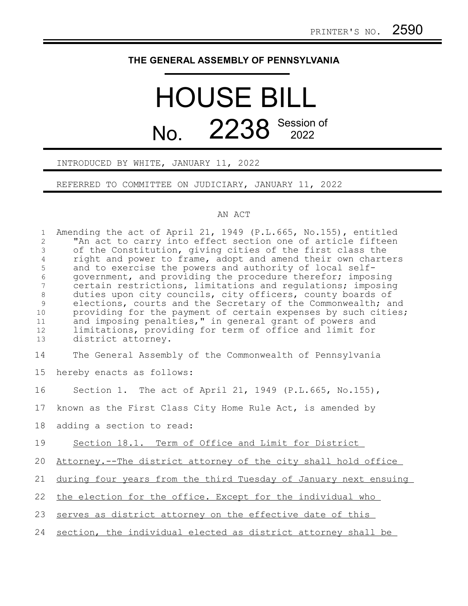## **THE GENERAL ASSEMBLY OF PENNSYLVANIA**

## HOUSE BILL No. 2238 Session of

INTRODUCED BY WHITE, JANUARY 11, 2022

REFERRED TO COMMITTEE ON JUDICIARY, JANUARY 11, 2022

## AN ACT

| $\mathbf{1}$<br>$\overline{2}$<br>$\mathfrak{Z}$<br>$\overline{4}$<br>5<br>$\sqrt{6}$<br>$\overline{7}$<br>8<br>$\mathcal{G}$<br>10<br>11<br>12<br>13 | Amending the act of April 21, 1949 (P.L.665, No.155), entitled<br>"An act to carry into effect section one of article fifteen<br>of the Constitution, giving cities of the first class the<br>right and power to frame, adopt and amend their own charters<br>and to exercise the powers and authority of local self-<br>government, and providing the procedure therefor; imposing<br>certain restrictions, limitations and requlations; imposing<br>duties upon city councils, city officers, county boards of<br>elections, courts and the Secretary of the Commonwealth; and<br>providing for the payment of certain expenses by such cities;<br>and imposing penalties," in general grant of powers and<br>limitations, providing for term of office and limit for<br>district attorney. |
|-------------------------------------------------------------------------------------------------------------------------------------------------------|-----------------------------------------------------------------------------------------------------------------------------------------------------------------------------------------------------------------------------------------------------------------------------------------------------------------------------------------------------------------------------------------------------------------------------------------------------------------------------------------------------------------------------------------------------------------------------------------------------------------------------------------------------------------------------------------------------------------------------------------------------------------------------------------------|
| 14                                                                                                                                                    | The General Assembly of the Commonwealth of Pennsylvania                                                                                                                                                                                                                                                                                                                                                                                                                                                                                                                                                                                                                                                                                                                                      |
| 15                                                                                                                                                    | hereby enacts as follows:                                                                                                                                                                                                                                                                                                                                                                                                                                                                                                                                                                                                                                                                                                                                                                     |
| 16                                                                                                                                                    | Section 1. The act of April 21, 1949 (P.L.665, No.155),                                                                                                                                                                                                                                                                                                                                                                                                                                                                                                                                                                                                                                                                                                                                       |
| 17                                                                                                                                                    | known as the First Class City Home Rule Act, is amended by                                                                                                                                                                                                                                                                                                                                                                                                                                                                                                                                                                                                                                                                                                                                    |
| 18                                                                                                                                                    | adding a section to read:                                                                                                                                                                                                                                                                                                                                                                                                                                                                                                                                                                                                                                                                                                                                                                     |
| 19                                                                                                                                                    | Section 18.1. Term of Office and Limit for District                                                                                                                                                                                                                                                                                                                                                                                                                                                                                                                                                                                                                                                                                                                                           |
| 20                                                                                                                                                    | Attorney.--The district attorney of the city shall hold office                                                                                                                                                                                                                                                                                                                                                                                                                                                                                                                                                                                                                                                                                                                                |
| 21                                                                                                                                                    | during four years from the third Tuesday of January next ensuing                                                                                                                                                                                                                                                                                                                                                                                                                                                                                                                                                                                                                                                                                                                              |
| 22                                                                                                                                                    | the election for the office. Except for the individual who                                                                                                                                                                                                                                                                                                                                                                                                                                                                                                                                                                                                                                                                                                                                    |
| 23                                                                                                                                                    | serves as district attorney on the effective date of this                                                                                                                                                                                                                                                                                                                                                                                                                                                                                                                                                                                                                                                                                                                                     |
| 24                                                                                                                                                    | section, the individual elected as district attorney shall be                                                                                                                                                                                                                                                                                                                                                                                                                                                                                                                                                                                                                                                                                                                                 |